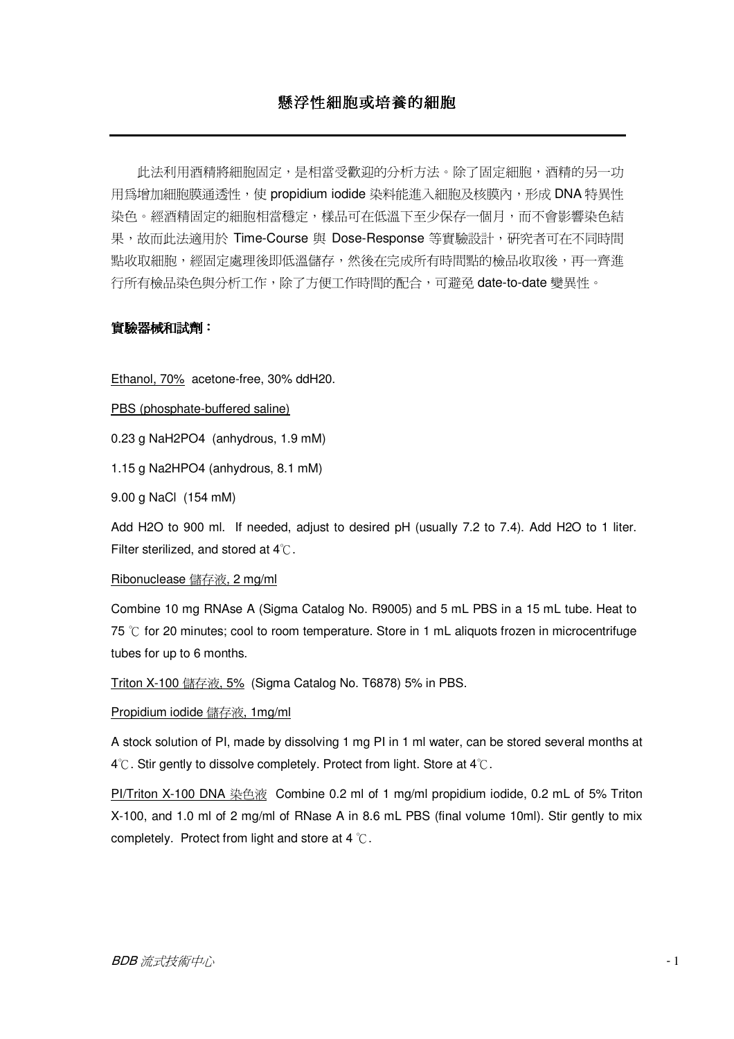# 懸浮性細胞或培養的細胞

此法利用酒精將細胞固定,是相當受歡迎的分析方法。除了固定細胞,酒精的另一功 用為增加細胞膜通透性,使 propidium iodide 染料能進入細胞及核膜內,形成 DNA 特異性 染色。經酒精固定的細胞相當穩定,樣品可在低溫下至少保存一個月,而不會影響染色結 果,故而此法適用於 Time-Course 與 Dose-Response 等實驗設計,硏究者可在不同時間 點收取細胞,經固定處理後即低溫儲存,然後在完成所有時間點的檢品收取後,再一齊進 行所有檢品染色與分析工作,除了方便工作時間的配合,可避免 date-to-date 變異性。

## 實驗器械和試劑:

Ethanol, 70% acetone-free, 30% ddH20.

PBS (phosphate-buffered saline)

0.23 g NaH2PO4 (anhydrous, 1.9 mM)

1.15 g Na2HPO4 (anhydrous, 8.1 mM)

9.00 g NaCl (154 mM)

Add H2O to 900 ml. If needed, adjust to desired pH (usually 7.2 to 7.4). Add H2O to 1 liter. Filter sterilized, and stored at  $4^{\circ}$ C.

#### Ribonuclease 儲存液, 2 mg/ml

Combine 10 mg RNAse A (Sigma Catalog No. R9005) and 5 mL PBS in a 15 mL tube. Heat to 75  $\degree$ C for 20 minutes; cool to room temperature. Store in 1 mL aliquots frozen in microcentrifuge tubes for up to 6 months.

<u>Triton X-100 儲存液, 5%</u> (Sigma Catalog No. T6878) 5% in PBS.

<u>Propidium iodide 儲存液, 1mg/ml</u>

A stock solution of PI, made by dissolving 1 mg PI in 1 ml water, can be stored several months at  $4^{\circ}$ C. Stir gently to dissolve completely. Protect from light. Store at  $4^{\circ}$ C.

PI/Triton X-100 DNA 染色液 Combine 0.2 ml of 1 mg/ml propidium iodide, 0.2 mL of 5% Triton X-100, and 1.0 ml of 2 mg/ml of RNase A in 8.6 mL PBS (final volume 10ml). Stir gently to mix completely. Protect from light and store at 4  $\degree$ C.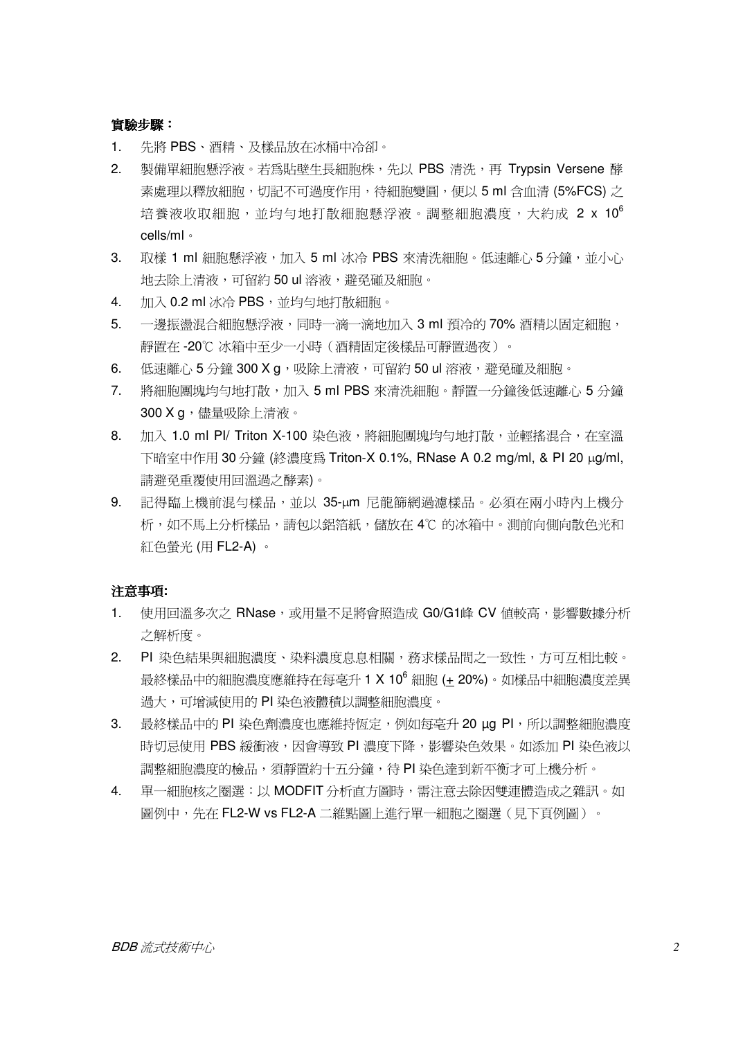實驗步驟:

- $1$ 先將 PBS、酒精、及樣品放在冰桶中冷卻。
- 2. 製備單細胞懸浮液。若為貼壁生長細胞株,先以 PBS 清洗,再 Trypsin Versene 酵 素處理以釋放細胞,切記不可過度作用,待細胞變圓,便以 5 ml 含血清 (5%FCS) 之 培養液收取細胞,並均勻地打散細胞懸浮液。調整細胞濃度,大約成 2 x 10<sup>6</sup> cells/ml ·
- 3. 取樣 1 ml 細胞懸浮液,加入 5 ml 冰冷 PBS 來清洗細胞。低速離心 5 分鐘,並小心 地夫除上清液,可留約 50 ul 溶液, 澼孕碰及細胞。
- $4.$ 加入 0.2 ml 冰冷 PBS,並均勻地打散細胞。
- $5<sub>1</sub>$ 一邊振盪混合細胞懸浮液,同時一滴一滴地加入 3 ml 預冷的 70% 酒精以固定細胞, 靜置在 -20℃ 冰箱中至少一小時 (洒精固定後樣品可靜置渦夜)。
- 低速離心 5 分鐘 300 X g,吸除上清液,可留約 50 ul 溶液,避免碰及細胞。 6.
- 將細胞團塊均勻地打散,加入 5 ml PBS 來清洗細胞。靜置一分鐘後低速離心 5 分鐘  $7<sub>1</sub>$ 300 X a, 儘量吸除上清液。
- 加入 1.0 ml Pl/ Triton X-100 染色液,將細胞團塊均勻地打散,並輕搖混合,在室溫 8. 下暗室中作用 30 分鐘 (終濃度為 Triton-X 0.1%, RNase A 0.2 mg/ml, & PI 20 ug/ml, 請避免重覆使用回溫過之酵素)。
- 9. 記得臨上機前混勻樣品,並以 35-µm 尼龍篩網過濾樣品。必須在兩小時內上機分 析,如不馬上分析樣品,請句以鋁箔紙,儲放在 4℃ 的冰箱中。測前向側向散色光和 紅色螢光 (用 FL2-A)。

### 注意事項:

- 使用回溫多次之 RNase,或用量不足將會照造成 G0/G1峰 CV 值較高,影響數據分析  $1.$ 之解析度。
- 2. PI 染色結果與細胞濃度、染料濃度息息相關,務求樣品間之一致性,方可互相比較。 最終樣品中的細胞濃度應維持在每毫升1 X 10<sup>6</sup> 細胞 (± 20%)。如樣品中細胞濃度差異 渦大,可增減使用的 PI 染色液體積以調整細胞濃度。
- 3. 最終樣品中的 PI 染色劑濃度也應維持恆定,例如每亳升 20 µg PI,所以調整細胞濃度 時切忌使用 PBS 緩衝液,因會導致 PI 濃度下降,影響染色效果。如添加 PI 染色液以 調整細胞濃度的檢品,須靜置約十五分鐘,待PI染色達到新平衡才可上機分析。
- $4.$ 單一細胞核之圈選:以 MODFIT 分析直方圖時,需注意去除因雙連體造成之雜訊。如 圖例中,先在 FL2-W vs FL2-A 二維點圖上進行單一細胞之圈選(見下頁例圖)。